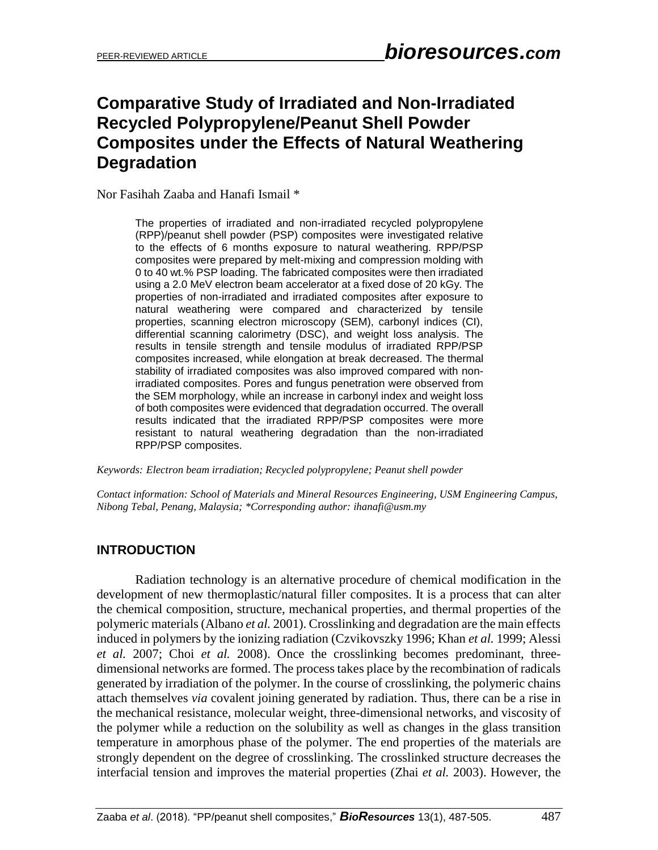# **Comparative Study of Irradiated and Non-Irradiated Recycled Polypropylene/Peanut Shell Powder Composites under the Effects of Natural Weathering Degradation**

Nor Fasihah Zaaba and Hanafi Ismail \*

The properties of irradiated and non-irradiated recycled polypropylene (RPP)/peanut shell powder (PSP) composites were investigated relative to the effects of 6 months exposure to natural weathering. RPP/PSP composites were prepared by melt-mixing and compression molding with 0 to 40 wt.% PSP loading. The fabricated composites were then irradiated using a 2.0 MeV electron beam accelerator at a fixed dose of 20 kGy. The properties of non-irradiated and irradiated composites after exposure to natural weathering were compared and characterized by tensile properties, scanning electron microscopy (SEM), carbonyl indices (CI), differential scanning calorimetry (DSC), and weight loss analysis. The results in tensile strength and tensile modulus of irradiated RPP/PSP composites increased, while elongation at break decreased. The thermal stability of irradiated composites was also improved compared with nonirradiated composites. Pores and fungus penetration were observed from the SEM morphology, while an increase in carbonyl index and weight loss of both composites were evidenced that degradation occurred. The overall results indicated that the irradiated RPP/PSP composites were more resistant to natural weathering degradation than the non-irradiated RPP/PSP composites.

*Keywords: Electron beam irradiation; Recycled polypropylene; Peanut shell powder*

*Contact information: School of Materials and Mineral Resources Engineering, USM Engineering Campus, Nibong Tebal, Penang, Malaysia; \*Corresponding author: ihanafi@usm.my*

#### **INTRODUCTION**

Radiation technology is an alternative procedure of chemical modification in the development of new thermoplastic/natural filler composites. It is a process that can alter the chemical composition, structure, mechanical properties, and thermal properties of the polymeric materials [\(Albano](#page-15-0) *et al.* 2001). Crosslinking and degradation are the main effects induced in polymers by the ionizing radiation (Czvikovszky 1996; Khan *et al.* 1999; Alessi *et al.* 2007; Choi *et al.* 2008). Once the crosslinking becomes predominant, threedimensional networks are formed. The process takes place by the recombination of radicals generated by irradiation of the polymer. In the course of crosslinking, the polymeric chains attach themselves *via* covalent joining generated by radiation. Thus, there can be a rise in the mechanical resistance, molecular weight, three-dimensional networks, and viscosity of the polymer while a reduction on the solubility as well as changes in the glass transition temperature in amorphous phase of the polymer. The end properties of the materials are strongly dependent on the degree of crosslinking. The crosslinked structure decreases the interfacial tension and improves the material properties (Zhai *et al.* 2003). However, the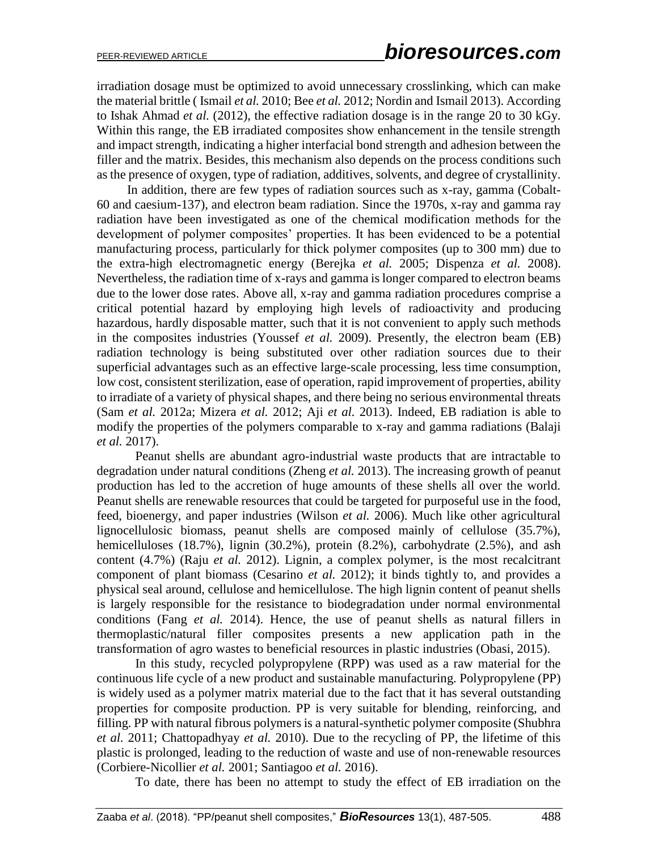irradiation dosage must be optimized to avoid unnecessary crosslinking, which can make the material brittle ( Ismail *et al.* 2010; Bee *et al.* 2012; Nordin and Ismail 2013). According to [Ishak Ahmad](#page-17-0) *et al.* (2012), the effective radiation dosage is in the range 20 to 30 kGy. Within this range, the EB irradiated composites show enhancement in the tensile strength and impact strength, indicating a higher interfacial bond strength and adhesion between the filler and the matrix. Besides, this mechanism also depends on the process conditions such as the presence of oxygen, type of radiation, additives, solvents, and degree of crystallinity.

In addition, there are few types of radiation sources such as x-ray, gamma (Cobalt-60 and caesium-137), and electron beam radiation. Since the 1970s, x-ray and gamma ray radiation have been investigated as one of the chemical modification methods for the development of polymer composites' properties. It has been evidenced to be a potential manufacturing process, particularly for thick polymer composites (up to 300 mm) due to the extra-high electromagnetic energy [\(Berejka](#page-16-0) *et al.* 2005; [Dispenza](#page-16-1) *et al.* 2008). Nevertheless, the radiation time of x-rays and gamma is longer compared to electron beams due to the lower dose rates. Above all, x-ray and gamma radiation procedures comprise a critical potential hazard by employing high levels of radioactivity and producing hazardous, hardly disposable matter, such that it is not convenient to apply such methods in the composites industries (Youssef *et al.* 2009). Presently, the electron beam (EB) radiation technology is being substituted over other radiation sources due to their superficial advantages such as an effective large-scale processing, less time consumption, low cost, consistent sterilization, ease of operation, rapid improvement of properties, ability to irradiate of a variety of physical shapes, and there being no serious environmental threats (Sam *et al.* 2012a; [Mizera](#page-17-1) *et al.* 2012; Aji *et al.* 2013). Indeed, EB radiation is able to modify the properties of the polymers comparable to x-ray and gamma radiations [\(Balaji](#page-16-2)  *et al.* [2017\)](#page-16-2).

Peanut shells are abundant agro-industrial waste products that are intractable to degradation under natural conditions (Zheng *et al.* 2013). The increasing growth of peanut production has led to the accretion of huge amounts of these shells all over the world. Peanut shells are renewable resources that could be targeted for purposeful use in the food, feed, bioenergy, and paper industries [\(Wilson](#page-18-0) *et al.* 2006). Much like other agricultural lignocellulosic biomass, peanut shells are composed mainly of cellulose (35.7%), hemicelluloses (18.7%), lignin (30.2%), protein (8.2%), carbohydrate (2.5%), and ash content (4.7%) [\(Raju](#page-18-1) *et al.* 2012). Lignin, a complex polymer, is the most recalcitrant component of plant biomass [\(Cesarino](#page-16-3) *et al.* 2012); it binds tightly to, and provides a physical seal around, cellulose and hemicellulose. The high lignin content of peanut shells is largely responsible for the resistance to biodegradation under normal environmental conditions [\(Fang](#page-16-4) *et al.* 2014). Hence, the use of peanut shells as natural fillers in thermoplastic/natural filler composites presents a new application path in the transformation of agro wastes to beneficial resources in plastic industries [\(Obasi, 2015\)](#page-17-2).

In this study, recycled polypropylene (RPP) was used as a raw material for the continuous life cycle of a new product and sustainable manufacturing. Polypropylene (PP) is widely used as a polymer matrix material due to the fact that it has several outstanding properties for composite production. PP is very suitable for blending, reinforcing, and filling. PP with natural fibrous polymers is a natural-synthetic polymer composite [\(Shubhra](#page-17-3)  *et al.* [2011;](#page-17-3) [Chattopadhyay](#page-16-5) *et al.* 2010). Due to the recycling of PP, the lifetime of this plastic is prolonged, leading to the reduction of waste and use of non-renewable resources (Corbiere-Nicollier *et al.* 2001; [Santiagoo](#page-18-2) *et al.* 2016).

To date, there has been no attempt to study the effect of EB irradiation on the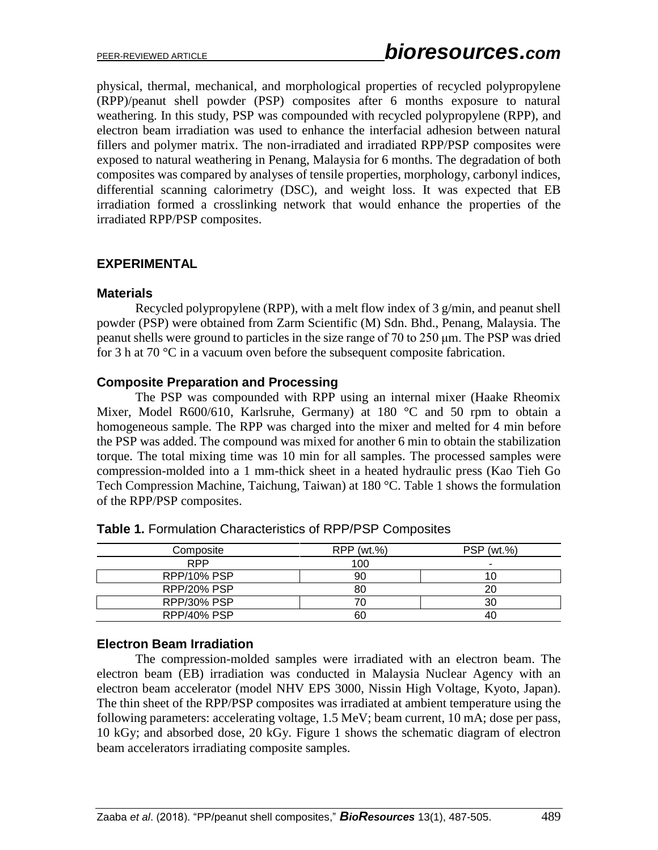physical, thermal, mechanical, and morphological properties of recycled polypropylene (RPP)/peanut shell powder (PSP) composites after 6 months exposure to natural weathering. In this study, PSP was compounded with recycled polypropylene (RPP), and electron beam irradiation was used to enhance the interfacial adhesion between natural fillers and polymer matrix. The non-irradiated and irradiated RPP/PSP composites were exposed to natural weathering in Penang, Malaysia for 6 months. The degradation of both composites was compared by analyses of tensile properties, morphology, carbonyl indices, differential scanning calorimetry (DSC), and weight loss. It was expected that EB irradiation formed a crosslinking network that would enhance the properties of the irradiated RPP/PSP composites.

## **EXPERIMENTAL**

#### **Materials**

Recycled polypropylene (RPP), with a melt flow index of 3 g/min, and peanut shell powder (PSP) were obtained from Zarm Scientific (M) Sdn. Bhd., Penang, Malaysia. The peanut shells were ground to particles in the size range of 70 to 250 μm. The PSP was dried for 3 h at 70 °C in a vacuum oven before the subsequent composite fabrication.

#### **Composite Preparation and Processing**

The PSP was compounded with RPP using an internal mixer (Haake Rheomix Mixer, Model R600/610, Karlsruhe, Germany) at 180 °C and 50 rpm to obtain a homogeneous sample. The RPP was charged into the mixer and melted for 4 min before the PSP was added. The compound was mixed for another 6 min to obtain the stabilization torque. The total mixing time was 10 min for all samples. The processed samples were compression-molded into a 1 mm-thick sheet in a heated hydraulic press (Kao Tieh Go Tech Compression Machine, Taichung, Taiwan) at 180 °C. Table 1 shows the formulation of the RPP/PSP composites.

| Composite          | RPP (wt.%) | <b>PSP</b> (wt.%) |
|--------------------|------------|-------------------|
| <b>RPP</b>         | 100        | ٠                 |
| RPP/10% PSP        | 90         |                   |
| RPP/20% PSP        | 80         | 20                |
| <b>RPP/30% PSP</b> | 70         | 30                |
| RPP/40% PSP        | 60         | 40                |

**Table 1.** Formulation Characteristics of RPP/PSP Composites

## **Electron Beam Irradiation**

The compression-molded samples were irradiated with an electron beam. The electron beam (EB) irradiation was conducted in Malaysia Nuclear Agency with an electron beam accelerator (model NHV EPS 3000, Nissin High Voltage, Kyoto, Japan). The thin sheet of the RPP/PSP composites was irradiated at ambient temperature using the following parameters: accelerating voltage, 1.5 MeV; beam current, 10 mA; dose per pass, 10 kGy; and absorbed dose, 20 kGy. Figure 1 shows the schematic diagram of electron beam accelerators irradiating composite samples.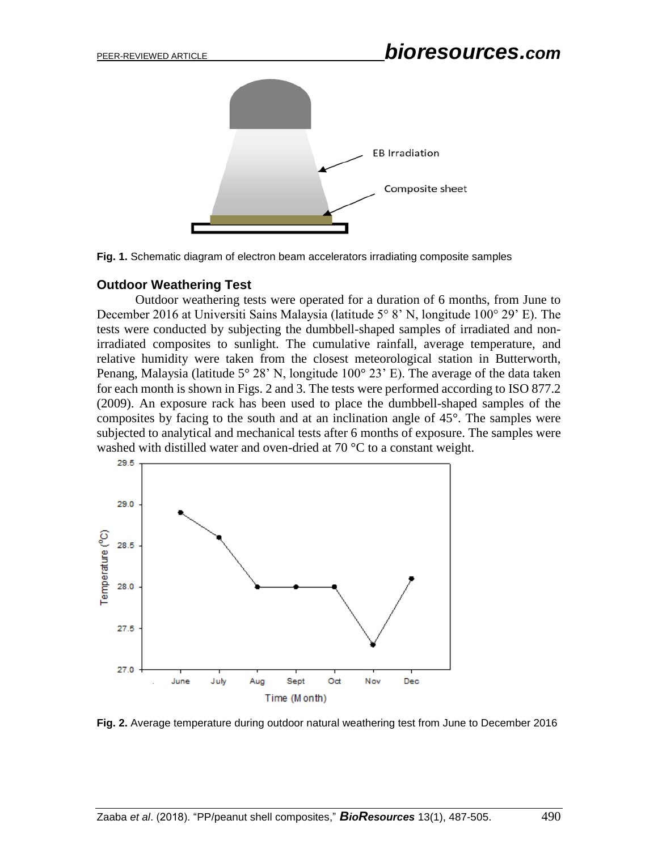



#### **Outdoor Weathering Test**

Outdoor weathering tests were operated for a duration of 6 months, from June to December 2016 at Universiti Sains Malaysia (latitude 5° 8' N, longitude 100° 29' E). The tests were conducted by subjecting the dumbbell-shaped samples of irradiated and nonirradiated composites to sunlight. The cumulative rainfall, average temperature, and relative humidity were taken from the closest meteorological station in Butterworth, Penang, Malaysia (latitude  $5^{\circ}$  28' N, longitude  $100^{\circ}$  23' E). The average of the data taken for each month is shown in Figs. 2 and 3. The tests were performed according to ISO 877.2 (2009). An exposure rack has been used to place the dumbbell-shaped samples of the composites by facing to the south and at an inclination angle of 45°. The samples were subjected to analytical and mechanical tests after 6 months of exposure. The samples were washed with distilled water and oven-dried at 70 °C to a constant weight.



**Fig. 2.** Average temperature during outdoor natural weathering test from June to December 2016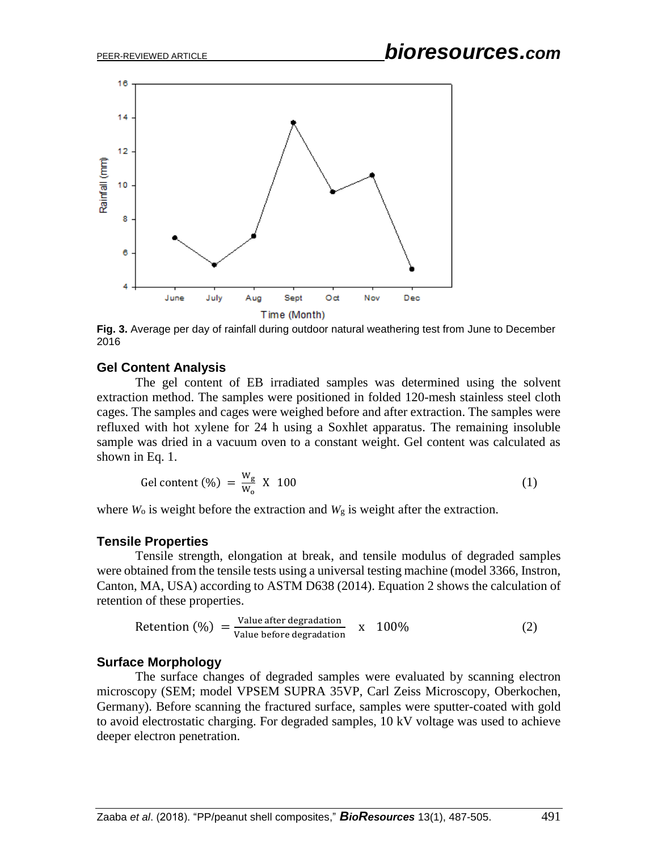

**Fig. 3.** Average per day of rainfall during outdoor natural weathering test from June to December 2016

# **Gel Content Analysis**

The gel content of EB irradiated samples was determined using the solvent extraction method. The samples were positioned in folded 120-mesh stainless steel cloth cages. The samples and cages were weighed before and after extraction. The samples were refluxed with hot xylene for 24 h using a Soxhlet apparatus. The remaining insoluble sample was dried in a vacuum oven to a constant weight. Gel content was calculated as shown in Eq. 1.

$$
Gel content (\%) = \frac{W_g}{W_o} \times 100 \tag{1}
$$

where  $W_0$  is weight before the extraction and  $W_g$  is weight after the extraction.

#### **Tensile Properties**

Tensile strength, elongation at break, and tensile modulus of degraded samples were obtained from the tensile tests using a universal testing machine (model 3366, Instron, Canton, MA, USA) according to ASTM D638 (2014). Equation 2 shows the calculation of retention of these properties.

$$
Retention (%) = \frac{Value after degradation}{Value before degradation} \times 100\% \tag{2}
$$

## **Surface Morphology**

The surface changes of degraded samples were evaluated by scanning electron microscopy (SEM; model VPSEM SUPRA 35VP, Carl Zeiss Microscopy, Oberkochen, Germany). Before scanning the fractured surface, samples were sputter-coated with gold to avoid electrostatic charging. For degraded samples, 10 kV voltage was used to achieve deeper electron penetration.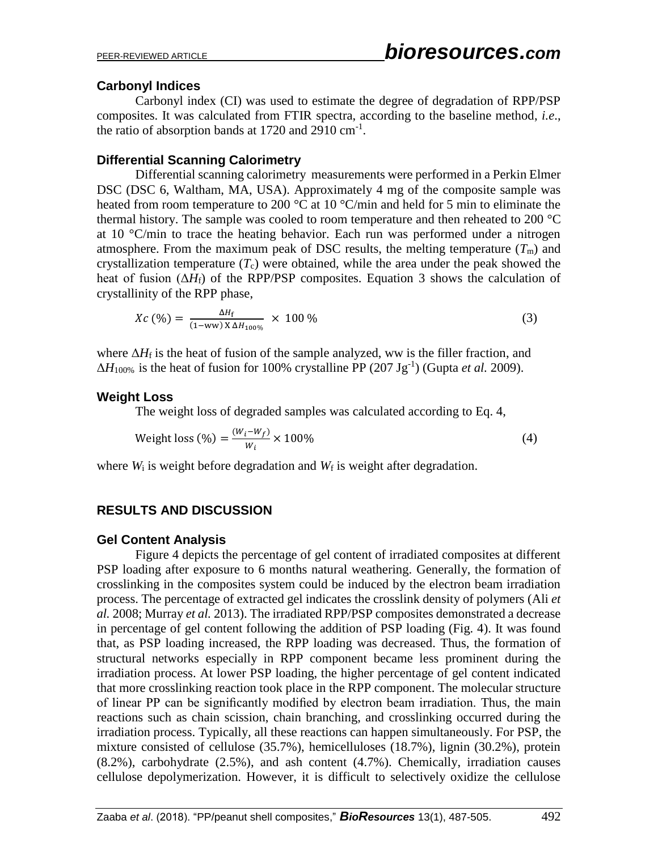# **Carbonyl Indices**

Carbonyl index (CI) was used to estimate the degree of degradation of RPP/PSP composites. It was calculated from FTIR spectra, according to the baseline method, *i.e*., the ratio of absorption bands at  $1720$  and  $2910 \text{ cm}^{-1}$ .

## **Differential Scanning Calorimetry**

Differential scanning calorimetry measurements were performed in a Perkin Elmer DSC (DSC 6, Waltham, MA, USA). Approximately 4 mg of the composite sample was heated from room temperature to 200 °C at 10 °C/min and held for 5 min to eliminate the thermal history. The sample was cooled to room temperature and then reheated to 200 °C at 10 °C/min to trace the heating behavior. Each run was performed under a nitrogen atmosphere. From the maximum peak of DSC results, the melting temperature  $(T<sub>m</sub>)$  and crystallization temperature  $(T_c)$  were obtained, while the area under the peak showed the heat of fusion  $(\Delta H_f)$  of the RPP/PSP composites. Equation 3 shows the calculation of crystallinity of the RPP phase,

$$
Xc\,\left(\frac{\%}{\text{m}}\right) = \frac{\Delta H_{\text{f}}}{(1 - \text{ww}) \, X \, \Delta H_{100\%}} \,\times\, 100\,\%
$$
\n(3)

where  $\Delta H_f$  is the heat of fusion of the sample analyzed, ww is the filler fraction, and  $\Delta H_{100\%}$  is the heat of fusion for 100% crystalline PP (207 Jg<sup>-1</sup>) [\(Gupta](#page-17-4) *et al.* 2009).

# **Weight Loss**

The weight loss of degraded samples was calculated according to Eq. 4,

Weight loss 
$$
(\%) = \frac{(W_i - W_f)}{W_i} \times 100\%
$$
 (4)

where  $W_i$  is weight before degradation and  $W_f$  is weight after degradation.

# **RESULTS AND DISCUSSION**

## **Gel Content Analysis**

Figure 4 depicts the percentage of gel content of irradiated composites at different PSP loading after exposure to 6 months natural weathering. Generally, the formation of crosslinking in the composites system could be induced by the electron beam irradiation process. The percentage of extracted gel indicates the crosslink density of polymers (Ali *et al.* 2008; Murray *et al.* 2013). The irradiated RPP/PSP composites demonstrated a decrease in percentage of gel content following the addition of PSP loading (Fig. 4). It was found that, as PSP loading increased, the RPP loading was decreased. Thus, the formation of structural networks especially in RPP component became less prominent during the irradiation process. At lower PSP loading, the higher percentage of gel content indicated that more crosslinking reaction took place in the RPP component. The molecular structure of linear PP can be significantly modified by electron beam irradiation. Thus, the main reactions such as chain scission, chain branching, and crosslinking occurred during the irradiation process. Typically, all these reactions can happen simultaneously. For PSP, the mixture consisted of cellulose (35.7%), hemicelluloses (18.7%), lignin (30.2%), protein (8.2%), carbohydrate (2.5%), and ash content (4.7%). Chemically, irradiation causes cellulose depolymerization. However, it is difficult to selectively oxidize the cellulose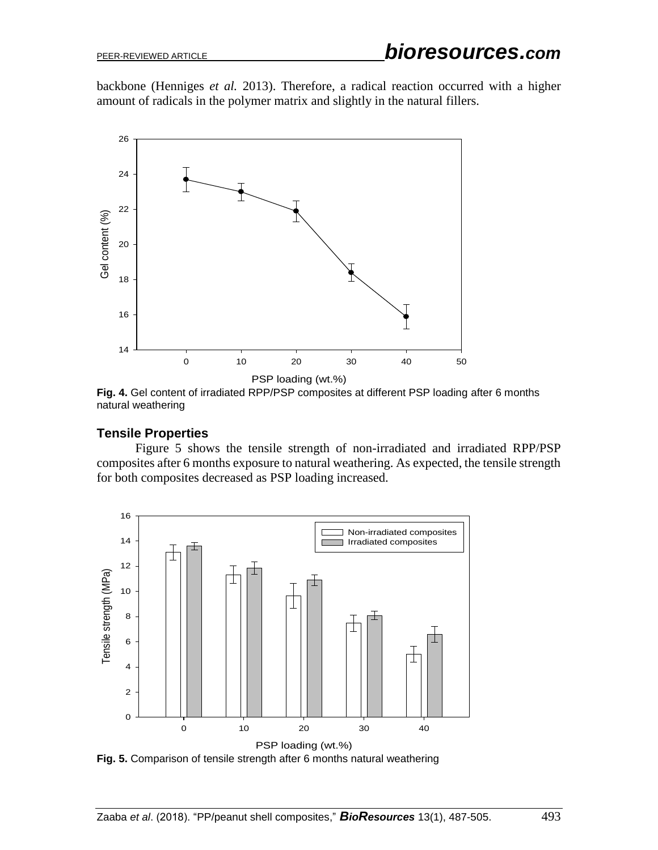backbone [\(Henniges](#page-18-3) *et al.* 2013). Therefore, a radical reaction occurred with a higher amount of radicals in the polymer matrix and slightly in the natural fillers.



**Fig. 4.** Gel content of irradiated RPP/PSP composites at different PSP loading after 6 months natural weathering

## **Tensile Properties**

Figure 5 shows the tensile strength of non-irradiated and irradiated RPP/PSP composites after 6 months exposure to natural weathering. As expected, the tensile strength for both composites decreased as PSP loading increased.



**Fig. 5.** Comparison of tensile strength after 6 months natural weathering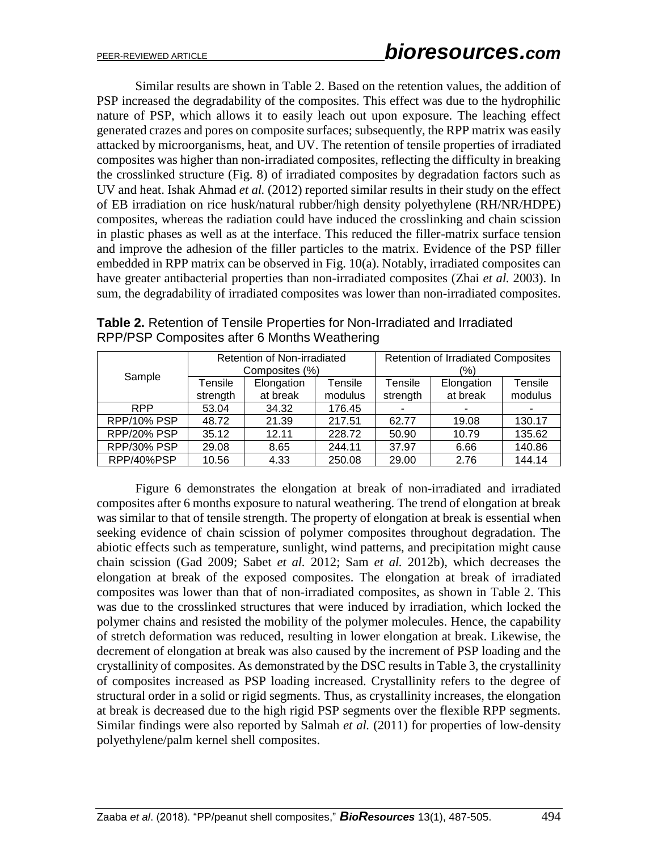Similar results are shown in Table 2. Based on the retention values, the addition of PSP increased the degradability of the composites. This effect was due to the hydrophilic nature of PSP, which allows it to easily leach out upon exposure. The leaching effect generated crazes and pores on composite surfaces; subsequently, the RPP matrix was easily attacked by microorganisms, heat, and UV. The retention of tensile properties of irradiated composites was higher than non-irradiated composites, reflecting the difficulty in breaking the crosslinked structure (Fig. 8) of irradiated composites by degradation factors such as UV and heat. [Ishak Ahmad](#page-17-0) *et al.* (2012) reported similar results in their study on the effect of EB irradiation on rice husk/natural rubber/high density polyethylene (RH/NR/HDPE) composites, whereas the radiation could have induced the crosslinking and chain scission in plastic phases as well as at the interface. This reduced the filler-matrix surface tension and improve the adhesion of the filler particles to the matrix. Evidence of the PSP filler embedded in RPP matrix can be observed in Fig. 10(a). Notably, irradiated composites can have greater antibacterial properties than non-irradiated composites (Zhai *et al.* 2003). In sum, the degradability of irradiated composites was lower than non-irradiated composites.

|             | Retention of Non-irradiated<br>Composites (%) |            |         | <b>Retention of Irradiated Composites</b><br>(%) |            |         |
|-------------|-----------------------------------------------|------------|---------|--------------------------------------------------|------------|---------|
| Sample      | Tensile                                       | Elongation | Tensile | Tensile                                          | Elongation | Tensile |
|             | strength                                      | at break   | modulus | strength                                         | at break   | modulus |
| <b>RPP</b>  | 53.04                                         | 34.32      | 176.45  |                                                  |            |         |
| RPP/10% PSP | 48.72                                         | 21.39      | 217.51  | 62.77                                            | 19.08      | 130.17  |
| RPP/20% PSP | 35.12                                         | 12.11      | 228.72  | 50.90                                            | 10.79      | 135.62  |
| RPP/30% PSP | 29.08                                         | 8.65       | 244.11  | 37.97                                            | 6.66       | 140.86  |
| RPP/40%PSP  | 10.56                                         | 4.33       | 250.08  | 29.00                                            | 2.76       | 144.14  |

**Table 2.** Retention of Tensile Properties for Non-Irradiated and Irradiated RPP/PSP Composites after 6 Months Weathering

Figure 6 demonstrates the elongation at break of non-irradiated and irradiated composites after 6 months exposure to natural weathering. The trend of elongation at break was similar to that of tensile strength. The property of elongation at break is essential when seeking evidence of chain scission of polymer composites throughout degradation. The abiotic effects such as temperature, sunlight, wind patterns, and precipitation might cause chain scission [\(Gad 2009;](#page-17-5) Sabet *et al.* 2012; Sam *et al.* [2012b\)](#page-18-4), which decreases the elongation at break of the exposed composites. The elongation at break of irradiated composites was lower than that of non-irradiated composites, as shown in Table 2. This was due to the crosslinked structures that were induced by irradiation, which locked the polymer chains and resisted the mobility of the polymer molecules. Hence, the capability of stretch deformation was reduced, resulting in lower elongation at break. Likewise, the decrement of elongation at break was also caused by the increment of PSP loading and the crystallinity of composites. As demonstrated by the DSC results in Table 3, the crystallinity of composites increased as PSP loading increased. Crystallinity refers to the degree of structural order in a solid or rigid segments. Thus, as crystallinity increases, the elongation at break is decreased due to the high rigid PSP segments over the flexible RPP segments. Similar findings were also reported by [Salmah](#page-18-5) *et al.* (2011) for properties of low-density polyethylene/palm kernel shell composites.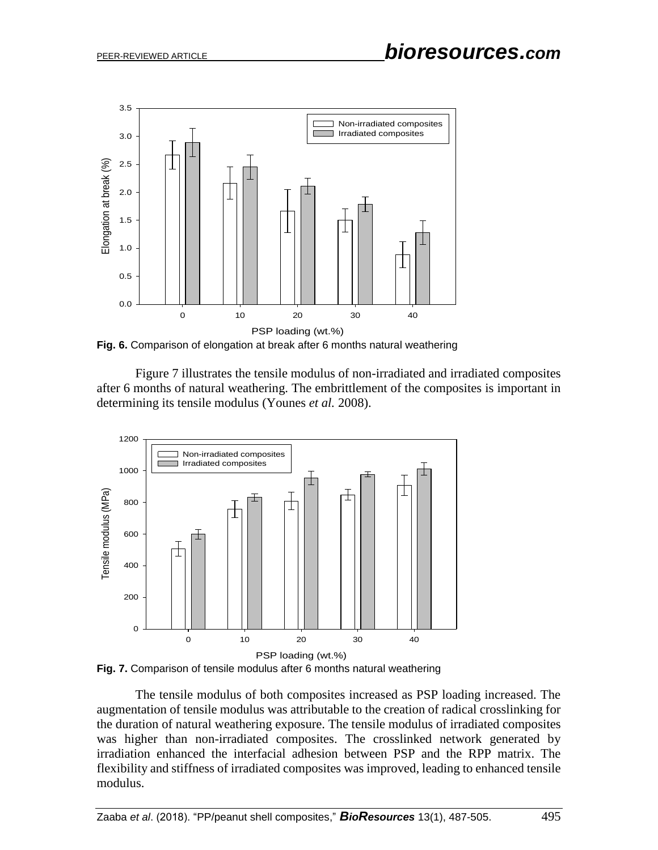

**Fig. 6.** Comparison of elongation at break after 6 months natural weathering

Figure 7 illustrates the tensile modulus of non-irradiated and irradiated composites after 6 months of natural weathering. The embrittlement of the composites is important in determining its tensile modulus [\(Younes](#page-18-6) *et al.* 2008).





The tensile modulus of both composites increased as PSP loading increased. The augmentation of tensile modulus was attributable to the creation of radical crosslinking for the duration of natural weathering exposure. The tensile modulus of irradiated composites was higher than non-irradiated composites. The crosslinked network generated by irradiation enhanced the interfacial adhesion between PSP and the RPP matrix. The flexibility and stiffness of irradiated composites was improved, leading to enhanced tensile modulus.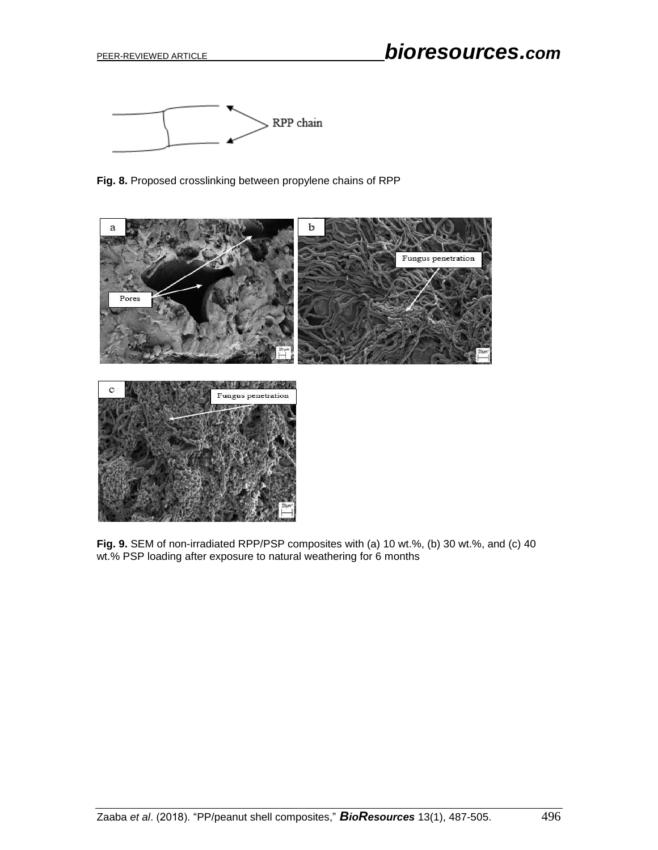

**Fig. 8.** Proposed crosslinking between propylene chains of RPP



**Fig. 9.** SEM of non-irradiated RPP/PSP composites with (a) 10 wt.%, (b) 30 wt.%, and (c) 40 wt.% PSP loading after exposure to natural weathering for 6 months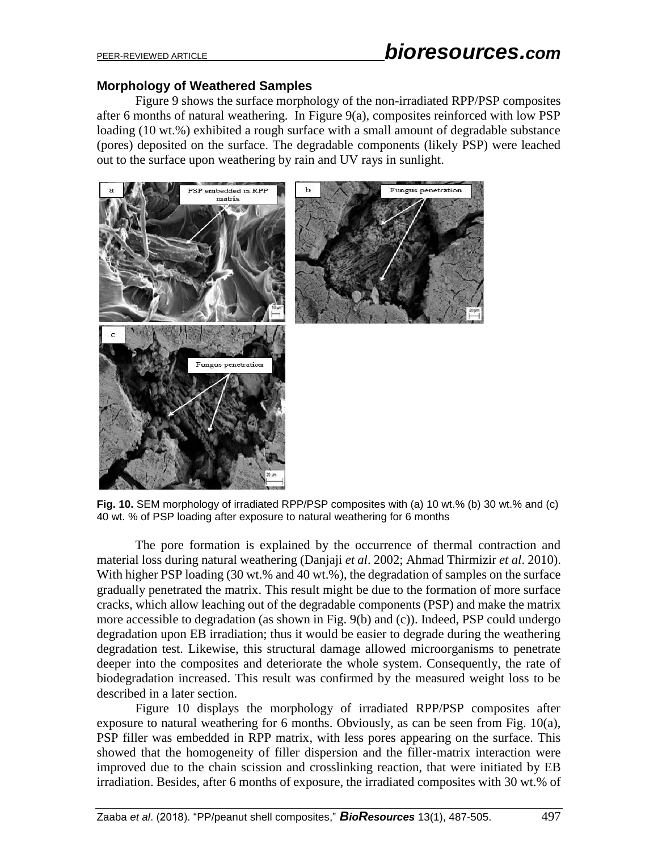## **Morphology of Weathered Samples**

Figure 9 shows the surface morphology of the non-irradiated RPP/PSP composites after 6 months of natural weathering. In Figure 9(a), composites reinforced with low PSP loading (10 wt.%) exhibited a rough surface with a small amount of degradable substance (pores) deposited on the surface. The degradable components (likely PSP) were leached out to the surface upon weathering by rain and UV rays in sunlight.



**Fig. 10.** SEM morphology of irradiated RPP/PSP composites with (a) 10 wt.% (b) 30 wt.% and (c) 40 wt. % of PSP loading after exposure to natural weathering for 6 months

The pore formation is explained by the occurrence of thermal contraction and material loss during natural weathering (Danjaji *et al*. 2002; Ahmad Thirmizir *et al*. 2010). With higher PSP loading (30 wt.% and 40 wt.%), the degradation of samples on the surface gradually penetrated the matrix. This result might be due to the formation of more surface cracks, which allow leaching out of the degradable components (PSP) and make the matrix more accessible to degradation (as shown in Fig. 9(b) and (c)). Indeed, PSP could undergo degradation upon EB irradiation; thus it would be easier to degrade during the weathering degradation test. Likewise, this structural damage allowed microorganisms to penetrate deeper into the composites and deteriorate the whole system. Consequently, the rate of biodegradation increased. This result was confirmed by the measured weight loss to be described in a later section.

Figure 10 displays the morphology of irradiated RPP/PSP composites after exposure to natural weathering for 6 months. Obviously, as can be seen from Fig. 10(a), PSP filler was embedded in RPP matrix, with less pores appearing on the surface. This showed that the homogeneity of filler dispersion and the filler-matrix interaction were improved due to the chain scission and crosslinking reaction, that were initiated by EB irradiation. Besides, after 6 months of exposure, the irradiated composites with 30 wt.% of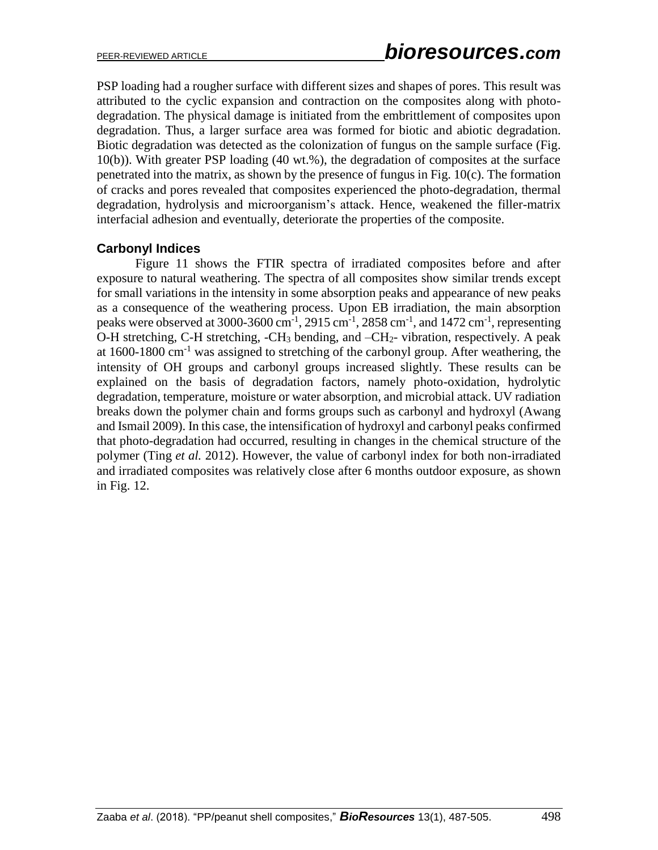PSP loading had a rougher surface with different sizes and shapes of pores. This result was attributed to the cyclic expansion and contraction on the composites along with photodegradation. The physical damage is initiated from the embrittlement of composites upon degradation. Thus, a larger surface area was formed for biotic and abiotic degradation. Biotic degradation was detected as the colonization of fungus on the sample surface (Fig. 10(b)). With greater PSP loading (40 wt.%), the degradation of composites at the surface penetrated into the matrix, as shown by the presence of fungus in Fig. 10(c). The formation of cracks and pores revealed that composites experienced the photo-degradation, thermal degradation, hydrolysis and microorganism's attack. Hence, weakened the filler-matrix interfacial adhesion and eventually, deteriorate the properties of the composite.

## **Carbonyl Indices**

Figure 11 shows the FTIR spectra of irradiated composites before and after exposure to natural weathering. The spectra of all composites show similar trends except for small variations in the intensity in some absorption peaks and appearance of new peaks as a consequence of the weathering process. Upon EB irradiation, the main absorption peaks were observed at 3000-3600 cm<sup>-1</sup>, 2915 cm<sup>-1</sup>, 2858 cm<sup>-1</sup>, and 1472 cm<sup>-1</sup>, representing O-H stretching, C-H stretching, -CH<sub>3</sub> bending, and  $-CH_2$ - vibration, respectively. A peak at 1600-1800 cm-1 was assigned to stretching of the carbonyl group. After weathering, the intensity of OH groups and carbonyl groups increased slightly. These results can be explained on the basis of degradation factors, namely photo-oxidation, hydrolytic degradation, temperature, moisture or water absorption, and microbial attack. UV radiation breaks down the polymer chain and forms groups such as carbonyl and hydroxyl [\(Awang](#page-16-6)  [and Ismail 2009\)](#page-16-6). In this case, the intensification of hydroxyl and carbonyl peaks confirmed that photo-degradation had occurred, resulting in changes in the chemical structure of the polymer [\(Ting](#page-18-7) *et al.* 2012). However, the value of carbonyl index for both non-irradiated and irradiated composites was relatively close after 6 months outdoor exposure, as shown in Fig. 12.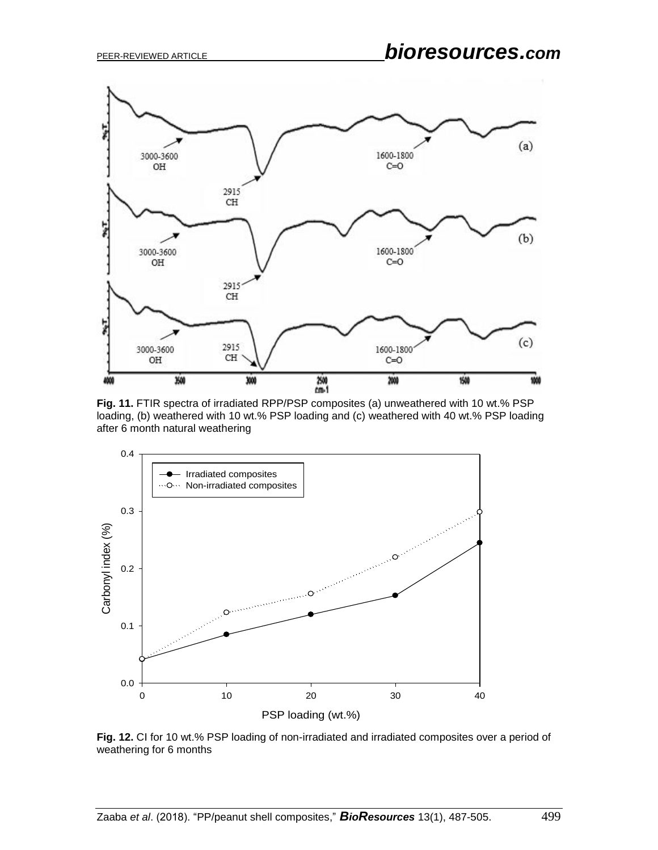

**Fig. 11.** FTIR spectra of irradiated RPP/PSP composites (a) unweathered with 10 wt.% PSP loading, (b) weathered with 10 wt.% PSP loading and (c) weathered with 40 wt.% PSP loading after 6 month natural weathering



**Fig. 12.** CI for 10 wt.% PSP loading of non-irradiated and irradiated composites over a period of weathering for 6 months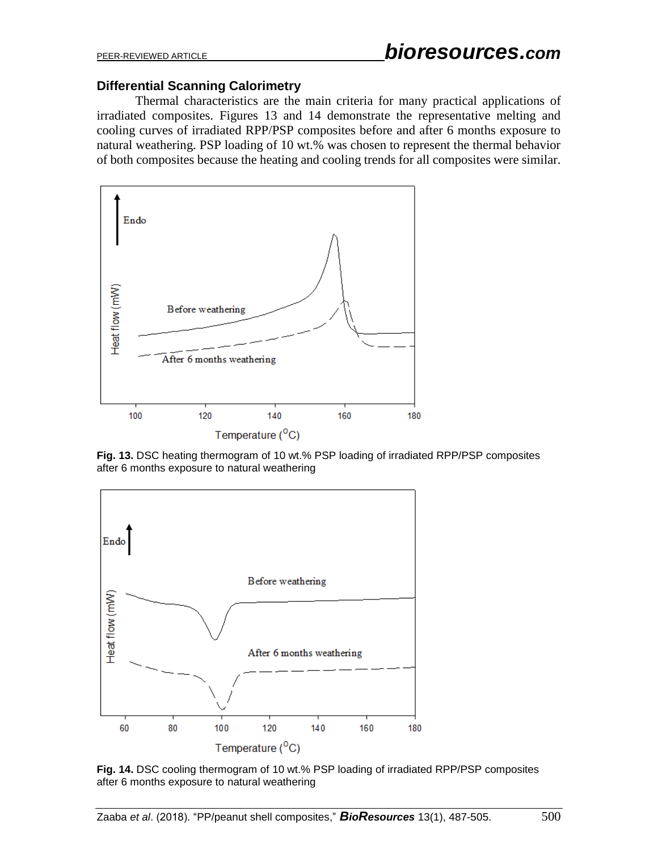#### **Differential Scanning Calorimetry**

Thermal characteristics are the main criteria for many practical applications of irradiated composites. Figures 13 and 14 demonstrate the representative melting and cooling curves of irradiated RPP/PSP composites before and after 6 months exposure to natural weathering. PSP loading of 10 wt.% was chosen to represent the thermal behavior of both composites because the heating and cooling trends for all composites were similar.



**Fig. 13.** DSC heating thermogram of 10 wt.% PSP loading of irradiated RPP/PSP composites after 6 months exposure to natural weathering



**Fig. 14.** DSC cooling thermogram of 10 wt.% PSP loading of irradiated RPP/PSP composites after 6 months exposure to natural weathering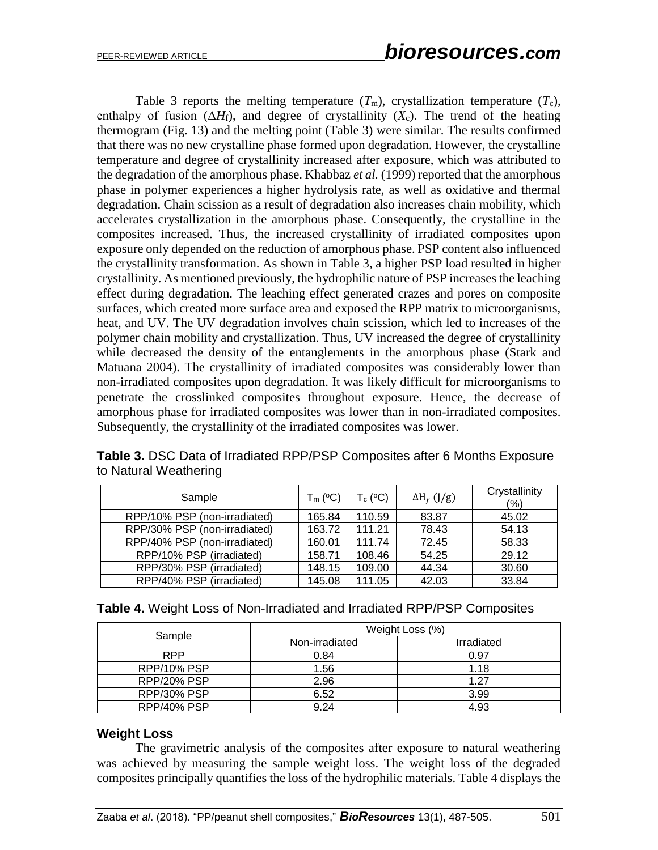Table 3 reports the melting temperature  $(T_m)$ , crystallization temperature  $(T_c)$ , enthalpy of fusion  $(\Delta H_f)$ , and degree of crystallinity  $(X_c)$ . The trend of the heating thermogram (Fig. 13) and the melting point (Table 3) were similar. The results confirmed that there was no new crystalline phase formed upon degradation. However, the crystalline temperature and degree of crystallinity increased after exposure, which was attributed to the degradation of the amorphous phase. [Khabbaz](#page-17-6) *et al.* (1999) reported that the amorphous phase in polymer experiences a higher hydrolysis rate, as well as oxidative and thermal degradation. Chain scission as a result of degradation also increases chain mobility, which accelerates crystallization in the amorphous phase. Consequently, the crystalline in the composites increased. Thus, the increased crystallinity of irradiated composites upon exposure only depended on the reduction of amorphous phase. PSP content also influenced the crystallinity transformation. As shown in Table 3, a higher PSP load resulted in higher crystallinity. As mentioned previously, the hydrophilic nature of PSP increases the leaching effect during degradation. The leaching effect generated crazes and pores on composite surfaces, which created more surface area and exposed the RPP matrix to microorganisms, heat, and UV. The UV degradation involves chain scission, which led to increases of the polymer chain mobility and crystallization. Thus, UV increased the degree of crystallinity while decreased the density of the entanglements in the amorphous phase (Stark and Matuana 2004). The crystallinity of irradiated composites was considerably lower than non-irradiated composites upon degradation. It was likely difficult for microorganisms to penetrate the crosslinked composites throughout exposure. Hence, the decrease of amorphous phase for irradiated composites was lower than in non-irradiated composites. Subsequently, the crystallinity of the irradiated composites was lower.

| Sample                       | $T_m$ (°C) | $T_c$ (°C) | $\Delta H_f$ (J/g) | Crystallinity<br>$(\% )$ |
|------------------------------|------------|------------|--------------------|--------------------------|
| RPP/10% PSP (non-irradiated) | 165.84     | 110.59     | 83.87              | 45.02                    |
| RPP/30% PSP (non-irradiated) | 163.72     | 111.21     | 78.43              | 54.13                    |
| RPP/40% PSP (non-irradiated) | 160.01     | 111.74     | 72.45              | 58.33                    |
| RPP/10% PSP (irradiated)     | 158.71     | 108.46     | 54.25              | 29.12                    |
| RPP/30% PSP (irradiated)     | 148.15     | 109.00     | 44.34              | 30.60                    |
| RPP/40% PSP (irradiated)     | 145.08     | 111.05     | 42.03              | 33.84                    |

**Table 3.** DSC Data of Irradiated RPP/PSP Composites after 6 Months Exposure to Natural Weathering

| Table 4. Weight Loss of Non-Irradiated and Irradiated RPP/PSP Composites |  |  |  |  |  |
|--------------------------------------------------------------------------|--|--|--|--|--|
|--------------------------------------------------------------------------|--|--|--|--|--|

| Sample             | Weight Loss (%) |            |  |
|--------------------|-----------------|------------|--|
|                    | Non-irradiated  | Irradiated |  |
| <b>RPP</b>         | 0.84            | 0.97       |  |
| RPP/10% PSP        | 1.56            | 1.18       |  |
| RPP/20% PSP        | 2.96            | 1.27       |  |
| <b>RPP/30% PSP</b> | 6.52            | 3.99       |  |
| RPP/40% PSP        | 9.24            | 4.93       |  |

#### **Weight Loss**

The gravimetric analysis of the composites after exposure to natural weathering was achieved by measuring the sample weight loss. The weight loss of the degraded composites principally quantifies the loss of the hydrophilic materials. Table 4 displays the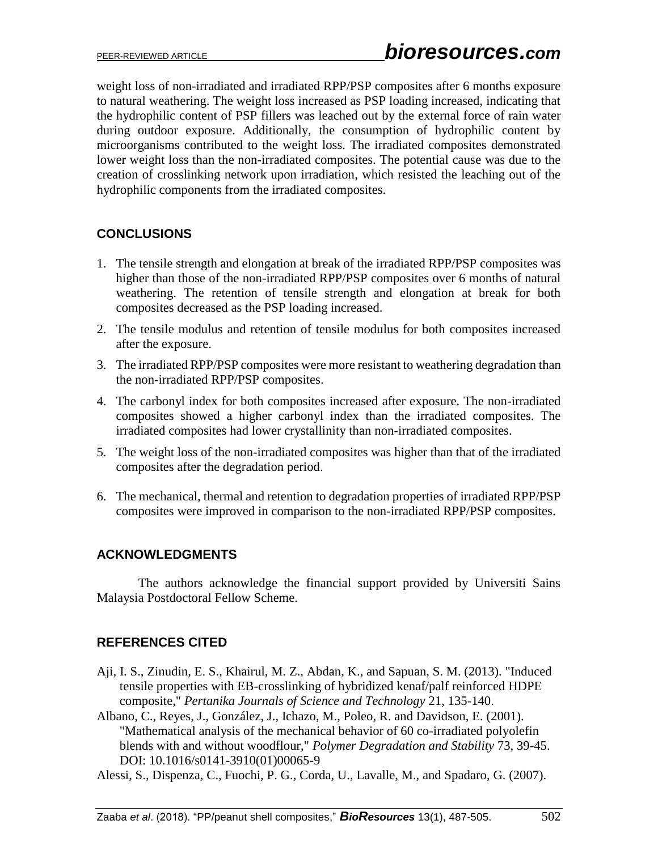weight loss of non-irradiated and irradiated RPP/PSP composites after 6 months exposure to natural weathering. The weight loss increased as PSP loading increased, indicating that the hydrophilic content of PSP fillers was leached out by the external force of rain water during outdoor exposure. Additionally, the consumption of hydrophilic content by microorganisms contributed to the weight loss. The irradiated composites demonstrated lower weight loss than the non-irradiated composites. The potential cause was due to the creation of crosslinking network upon irradiation, which resisted the leaching out of the hydrophilic components from the irradiated composites.

# **CONCLUSIONS**

- 1. The tensile strength and elongation at break of the irradiated RPP/PSP composites was higher than those of the non-irradiated RPP/PSP composites over 6 months of natural weathering. The retention of tensile strength and elongation at break for both composites decreased as the PSP loading increased.
- 2. The tensile modulus and retention of tensile modulus for both composites increased after the exposure.
- 3. The irradiated RPP/PSP composites were more resistant to weathering degradation than the non-irradiated RPP/PSP composites.
- 4. The carbonyl index for both composites increased after exposure. The non-irradiated composites showed a higher carbonyl index than the irradiated composites. The irradiated composites had lower crystallinity than non-irradiated composites.
- 5. The weight loss of the non-irradiated composites was higher than that of the irradiated composites after the degradation period.
- 6. The mechanical, thermal and retention to degradation properties of irradiated RPP/PSP composites were improved in comparison to the non-irradiated RPP/PSP composites.

# **ACKNOWLEDGMENTS**

The authors acknowledge the financial support provided by Universiti Sains Malaysia Postdoctoral Fellow Scheme.

# **REFERENCES CITED**

- <span id="page-15-0"></span>Aji, I. S., Zinudin, E. S., Khairul, M. Z., Abdan, K., and Sapuan, S. M. (2013). "Induced tensile properties with EB-crosslinking of hybridized kenaf/palf reinforced HDPE composite," *Pertanika Journals of Science and Technology* 21, 135-140.
- Albano, C., Reyes, J., González, J., Ichazo, M., Poleo, R. and Davidson, E. (2001). "Mathematical analysis of the mechanical behavior of 60 co-irradiated polyolefin blends with and without woodflour," *Polymer Degradation and Stability* 73, 39-45. DOI: 10.1016/s0141-3910(01)00065-9
- Alessi, S., Dispenza, C., Fuochi, P. G., Corda, U., Lavalle, M., and Spadaro, G. (2007).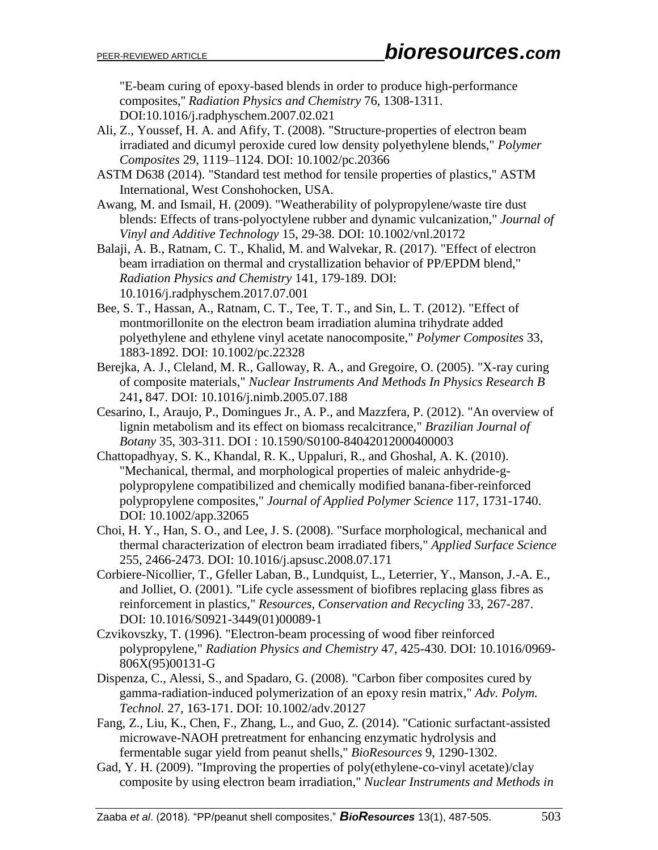"E-beam curing of epoxy-based blends in order to produce high-performance composites,'' *Radiation Physics and Chemistry* 76, 1308-1311. DOI:10.1016/j.radphyschem.2007.02.021

- Ali, Z., Youssef, H. A. and Afify, T. (2008). "Structure-properties of electron beam irradiated and dicumyl peroxide cured low density polyethylene blends," *Polymer Composites* 29, 1119–1124. DOI: 10.1002/pc.20366
- ASTM D638 (2014). "Standard test method for tensile properties of plastics," ASTM International, West Conshohocken, USA.
- Awang, M. and Ismail, H. (2009). "Weatherability of polypropylene/waste tire dust blends: Effects of trans-polyoctylene rubber and dynamic vulcanization," *Journal of Vinyl and Additive Technology* 15, 29-38. DOI: 10.1002/vnl.20172
- <span id="page-16-6"></span><span id="page-16-2"></span>Balaji, A. B., Ratnam, C. T., Khalid, M. and Walvekar, R. (2017). "Effect of electron beam irradiation on thermal and crystallization behavior of PP/EPDM blend," *Radiation Physics and Chemistry* 141, 179-189. DOI: 10.1016/j.radphyschem.2017.07.001
- Bee, S. T., Hassan, A., Ratnam, C. T., Tee, T. T., and Sin, L. T. (2012). "Effect of montmorillonite on the electron beam irradiation alumina trihydrate added polyethylene and ethylene vinyl acetate nanocomposite," *Polymer Composites* 33, 1883-1892. DOI: [10.1002/pc.22328](http://dx.doi.org/10.1002/pc.22328)
- Berejka, A. J., Cleland, M. R., Galloway, R. A., and Gregoire, O. (2005). "X-ray curing of composite materials," *Nuclear Instruments And Methods In Physics Research B* 241**,** 847. DOI: 10.1016/j.nimb.2005.07.188
- Cesarino, I., Araujo, P., Domingues Jr., A. P., and Mazzfera, P. (2012). "An overview of lignin metabolism and its effect on biomass recalcitrance," *Brazilian Journal of Botany* 35, 303-311. DOI : 10.1590/S0100-84042012000400003
- <span id="page-16-0"></span>Chattopadhyay, S. K., Khandal, R. K., Uppaluri, R., and Ghoshal, A. K. (2010). "Mechanical, thermal, and morphological properties of maleic anhydride-gpolypropylene compatibilized and chemically modified banana-fiber-reinforced polypropylene composites," *Journal of Applied Polymer Science* 117, 1731-1740. DOI: 10.1002/app.32065
- <span id="page-16-3"></span>Choi, H. Y., Han, S. O., and Lee, J. S. (2008). "Surface morphological, mechanical and thermal characterization of electron beam irradiated fibers," *Applied Surface Science* 255, 2466-2473. DOI: 10.1016/j.apsusc.2008.07.171
- <span id="page-16-5"></span>Corbiere-Nicollier, T., Gfeller Laban, B., Lundquist, L., Leterrier, Y., Manson, J.-A. E., and Jolliet, O. (2001). "Life cycle assessment of biofibres replacing glass fibres as reinforcement in plastics," *Resources, Conservation and Recycling* 33, 267-287. DOI: 10.1016/S0921-3449(01)00089-1
- <span id="page-16-1"></span>Czvikovszky, T. (1996). "Electron-beam processing of wood fiber reinforced polypropylene," *Radiation Physics and Chemistry* 47, 425-430. DOI: 10.1016/0969- 806X(95)00131-G
- Dispenza, C., Alessi, S., and Spadaro, G. (2008). "Carbon fiber composites cured by gamma-radiation-induced polymerization of an epoxy resin matrix," *Adv. Polym. Technol.* 27, 163-171. DOI: 10.1002/adv.20127
- Fang, Z., Liu, K., Chen, F., Zhang, L., and Guo, Z. (2014). "Cationic surfactant-assisted microwave-NAOH pretreatment for enhancing enzymatic hydrolysis and fermentable sugar yield from peanut shells," *BioResources* 9, 1290-1302.
- <span id="page-16-4"></span>Gad, Y. H. (2009). "Improving the properties of poly(ethylene-co-vinyl acetate)/clay composite by using electron beam irradiation," *Nuclear Instruments and Methods in*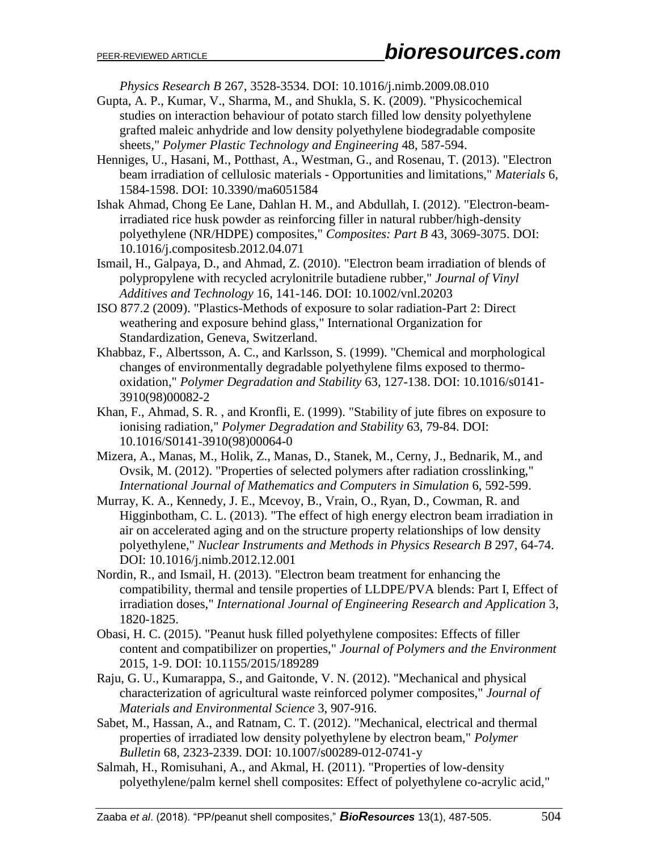*Physics Research B* 267, 3528-3534. DOI: 10.1016/j.nimb.2009.08.010

- <span id="page-17-5"></span>Gupta, A. P., Kumar, V., Sharma, M., and Shukla, S. K. (2009). "Physicochemical studies on interaction behaviour of potato starch filled low density polyethylene grafted maleic anhydride and low density polyethylene biodegradable composite sheets," *Polymer Plastic Technology and Engineering* 48, 587-594.
- Henniges, U., Hasani, M., Potthast, A., Westman, G., and Rosenau, T. (2013). "Electron beam irradiation of cellulosic materials - Opportunities and limitations," *Materials* 6, 1584-1598. DOI: 10.3390/ma6051584
- Ishak Ahmad, Chong Ee Lane, Dahlan H. M., and Abdullah, I. (2012). "Electron-beamirradiated rice husk powder as reinforcing filler in natural rubber/high-density polyethylene (NR/HDPE) composites," *Composites: Part B* 43, 3069-3075. DOI: 10.1016/j.compositesb.2012.04.071
- <span id="page-17-4"></span>Ismail, H., Galpaya, D., and Ahmad, Z. (2010). "Electron beam irradiation of blends of polypropylene with recycled acrylonitrile butadiene rubber," *Journal of Vinyl Additives and Technology* 16, 141-146. DOI: 10.1002/vnl.20203
- ISO 877.2 (2009). "Plastics-Methods of exposure to solar radiation-Part 2: Direct weathering and exposure behind glass," International Organization for Standardization, Geneva, Switzerland.
- <span id="page-17-0"></span>Khabbaz, F., Albertsson, A. C., and Karlsson, S. (1999). "Chemical and morphological changes of environmentally degradable polyethylene films exposed to thermooxidation," *Polymer Degradation and Stability* 63, 127-138. DOI: 10.1016/s0141- 3910(98)00082-2
- Khan, F., Ahmad, S. R. , and Kronfli, E. (1999). "Stability of jute fibres on exposure to ionising radiation," *Polymer Degradation and Stability* 63, 79-84. DOI: 10.1016/S0141-3910(98)00064-0
- <span id="page-17-6"></span>Mizera, A., Manas, M., Holik, Z., Manas, D., Stanek, M., Cerny, J., Bednarik, M., and Ovsik, M. (2012). "Properties of selected polymers after radiation crosslinking," *International Journal of Mathematics and Computers in Simulation* 6, 592-599.
- Murray, K. A., Kennedy, J. E., Mcevoy, B., Vrain, O., Ryan, D., Cowman, R. and Higginbotham, C. L. (2013). "The effect of high energy electron beam irradiation in air on accelerated aging and on the structure property relationships of low density polyethylene," *Nuclear Instruments and Methods in Physics Research B* 297, 64-74. DOI: 10.1016/j.nimb.2012.12.001
- Nordin, R., and Ismail, H. (2013). "Electron beam treatment for enhancing the compatibility, thermal and tensile properties of LLDPE/PVA blends: Part I, Effect of irradiation doses," *International Journal of Engineering Research and Application* 3, 1820-1825.
- <span id="page-17-1"></span>Obasi, H. C. (2015). "Peanut husk filled polyethylene composites: Effects of filler content and compatibilizer on properties," *Journal of Polymers and the Environment* 2015, 1-9. DOI: 10.1155/2015/189289
- <span id="page-17-2"></span>Raju, G. U., Kumarappa, S., and Gaitonde, V. N. (2012). "Mechanical and physical characterization of agricultural waste reinforced polymer composites," *Journal of Materials and Environmental Science* 3, 907-916.
- <span id="page-17-3"></span>Sabet, M., Hassan, A., and Ratnam, C. T. (2012). "Mechanical, electrical and thermal properties of irradiated low density polyethylene by electron beam," *Polymer Bulletin* 68, 2323-2339. DOI: 10.1007/s00289-012-0741-y
- Salmah, H., Romisuhani, A., and Akmal, H. (2011). "Properties of low-density polyethylene/palm kernel shell composites: Effect of polyethylene co-acrylic acid,"